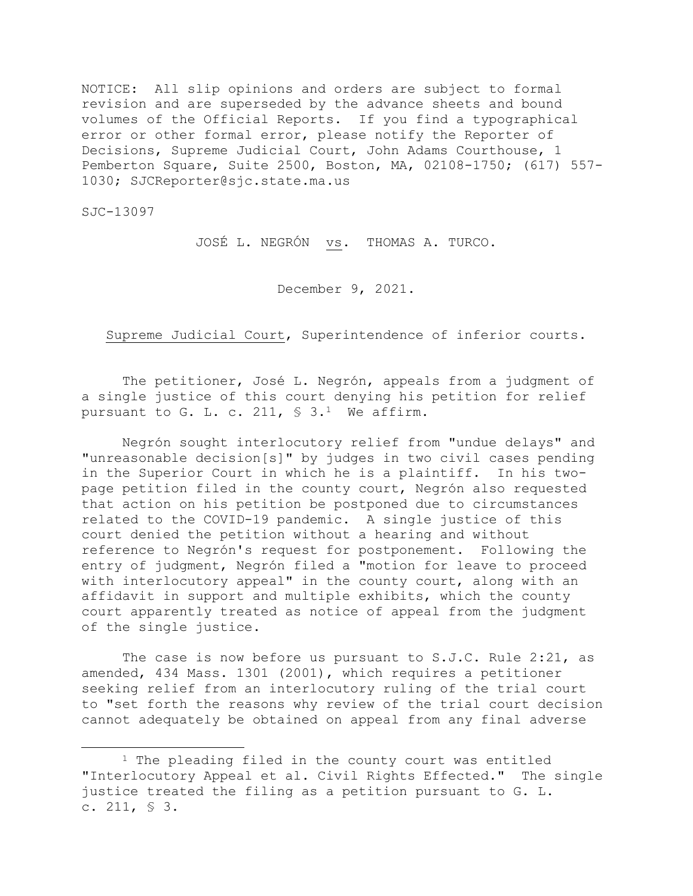NOTICE: All slip opinions and orders are subject to formal revision and are superseded by the advance sheets and bound volumes of the Official Reports. If you find a typographical error or other formal error, please notify the Reporter of Decisions, Supreme Judicial Court, John Adams Courthouse, 1 Pemberton Square, Suite 2500, Boston, MA, 02108-1750; (617) 557- 1030; SJCReporter@sjc.state.ma.us

SJC-13097

JOSÉ L. NEGRÓN vs. THOMAS A. TURCO.

December 9, 2021.

Supreme Judicial Court, Superintendence of inferior courts.

The petitioner, José L. Negrón, appeals from a judgment of a single justice of this court denying his petition for relief pursuant to G. L. c. 211,  $\$$  3.<sup>1</sup> We affirm.

Negrón sought interlocutory relief from "undue delays" and "unreasonable decision[s]" by judges in two civil cases pending in the Superior Court in which he is a plaintiff. In his twopage petition filed in the county court, Negrón also requested that action on his petition be postponed due to circumstances related to the COVID-19 pandemic. A single justice of this court denied the petition without a hearing and without reference to Negrón's request for postponement. Following the entry of judgment, Negrón filed a "motion for leave to proceed with interlocutory appeal" in the county court, along with an affidavit in support and multiple exhibits, which the county court apparently treated as notice of appeal from the judgment of the single justice.

The case is now before us pursuant to S.J.C. Rule 2:21, as amended, 434 Mass. 1301 (2001), which requires a petitioner seeking relief from an interlocutory ruling of the trial court to "set forth the reasons why review of the trial court decision cannot adequately be obtained on appeal from any final adverse

<sup>1</sup> The pleading filed in the county court was entitled "Interlocutory Appeal et al. Civil Rights Effected." The single justice treated the filing as a petition pursuant to G. L. c. 211, § 3.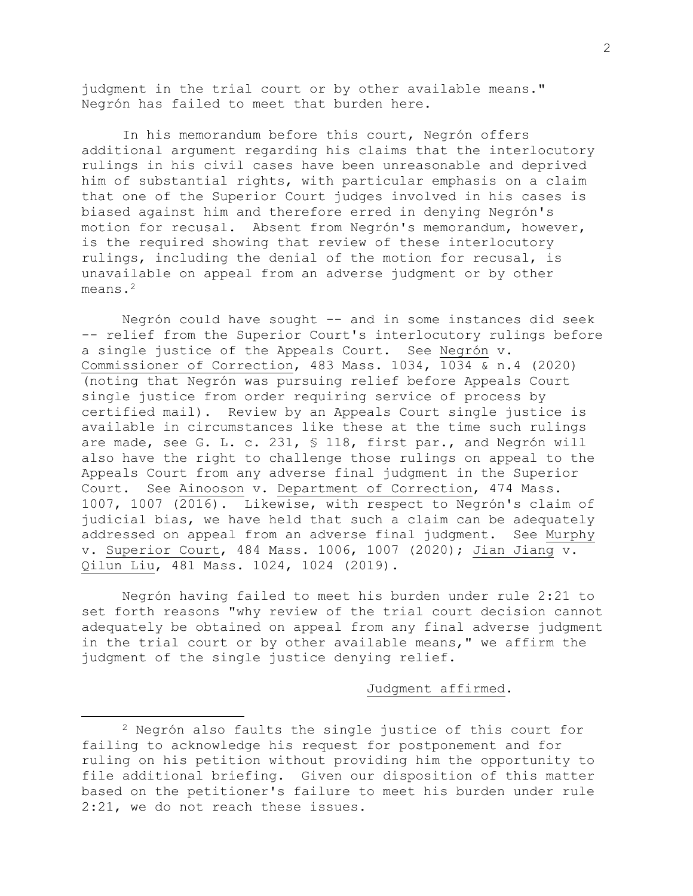judgment in the trial court or by other available means." Negrón has failed to meet that burden here.

In his memorandum before this court, Negrón offers additional argument regarding his claims that the interlocutory rulings in his civil cases have been unreasonable and deprived him of substantial rights, with particular emphasis on a claim that one of the Superior Court judges involved in his cases is biased against him and therefore erred in denying Negrón's motion for recusal. Absent from Negrón's memorandum, however, is the required showing that review of these interlocutory rulings, including the denial of the motion for recusal, is unavailable on appeal from an adverse judgment or by other means.<sup>2</sup>

Negrón could have sought -- and in some instances did seek -- relief from the Superior Court's interlocutory rulings before a single justice of the Appeals Court. See Negrón v. Commissioner of Correction, 483 Mass. 1034, 1034 & n.4 (2020) (noting that Negrón was pursuing relief before Appeals Court single justice from order requiring service of process by certified mail). Review by an Appeals Court single justice is available in circumstances like these at the time such rulings are made, see G. L. c. 231, § 118, first par., and Negrón will also have the right to challenge those rulings on appeal to the Appeals Court from any adverse final judgment in the Superior Court. See Ainooson v. Department of Correction, 474 Mass. 1007, 1007 (2016). Likewise, with respect to Negrón's claim of judicial bias, we have held that such a claim can be adequately addressed on appeal from an adverse final judgment. See Murphy v. Superior Court, 484 Mass. 1006, 1007 (2020); Jian Jiang v. Qilun Liu, 481 Mass. 1024, 1024 (2019).

Negrón having failed to meet his burden under rule 2:21 to set forth reasons "why review of the trial court decision cannot adequately be obtained on appeal from any final adverse judgment in the trial court or by other available means," we affirm the judgment of the single justice denying relief.

## Judgment affirmed.

<sup>2</sup> Negrón also faults the single justice of this court for failing to acknowledge his request for postponement and for ruling on his petition without providing him the opportunity to file additional briefing. Given our disposition of this matter based on the petitioner's failure to meet his burden under rule 2:21, we do not reach these issues.